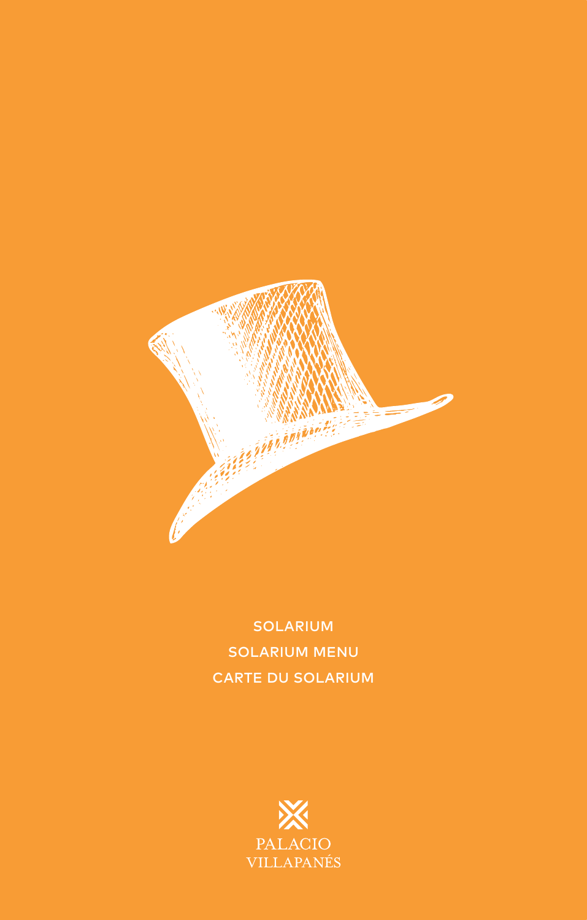

SOLARIUM SOLARIUM MENU CARTE DU SOLARIUM

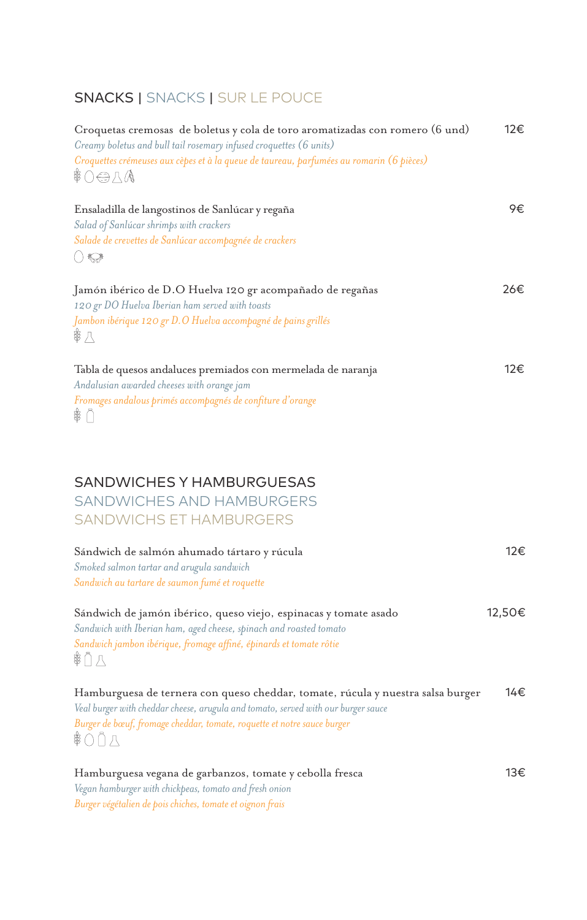## SNACKS | SNACKS | SUR LE POUCE

| Croquetas cremosas de boletus y cola de toro aromatizadas con romero (6 und)<br>Creamy boletus and bull tail rosemary infused croquettes (6 units)<br>Croquettes crémeuses aux cèpes et à la queue de taureau, parfumées au romarin (6 pièces)<br>\$0⊖Л& | 12€    |
|----------------------------------------------------------------------------------------------------------------------------------------------------------------------------------------------------------------------------------------------------------|--------|
| Ensaladilla de langostinos de Sanlúcar y regaña<br>Salad of Sanlúcar shrimps with crackers<br>Salade de crevettes de Sanlúcar accompagnée de crackers<br>$()$ $\circledast$                                                                              | 9€     |
| Jamón ibérico de D.O Huelva 120 gr acompañado de regañas<br>120 gr DO Huelva Iberian ham served with toasts<br>Jambon ibérique 120 gr D.O Huelva accompagné de pains grillés<br>※ 八                                                                      | 26€    |
| Tabla de quesos andaluces premiados con mermelada de naranja<br>Andalusian awarded cheeses with orange jam<br>Fromages andalous primés accompagnés de confiture d'orange<br>※∩                                                                           | 12€    |
| <b>SANDWICHES Y HAMBURGUESAS</b><br>SANDWICHES AND HAMBURGERS<br>SANDWICHS ET HAMBURGERS                                                                                                                                                                 |        |
| Sándwich de salmón ahumado tártaro y rúcula<br>Smoked salmon tartar and arugula sandwich<br>Sandwich au tartare de saumon fumé et roquette                                                                                                               | 12€    |
| Sándwich de jamón ibérico, queso viejo, espinacas y tomate asado<br>Sandwich with Iberian ham, aged cheese, spinach and roasted tomato<br>Sandwich jambon ibérique, fromage affiné, épinards et tomate rôtie<br>※门八                                      | 12,50€ |
| Hamburguesa de ternera con queso cheddar, tomate, rúcula y nuestra salsa burger<br>Veal burger with cheddar cheese, arugula and tomato, served with our burger sauce<br>Burger de bœuf, fromage cheddar, tomate, roquette et notre sauce burger<br>※○∩八  | 14€    |
| Hamburguesa vegana de garbanzos, tomate y cebolla fresca<br>Vegan hamburger with chickpeas, tomato and fresh onion<br>Burger végétalien de pois chiches, tomate et oignon frais                                                                          | 13€    |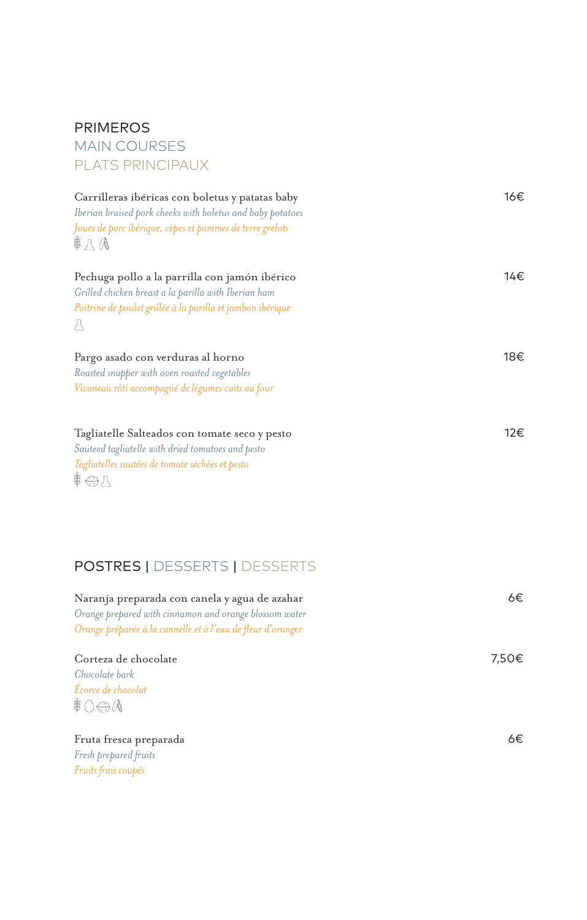## PRIMEROS MAIN COURSES PLATS PRINCIPAUX

| Carrilleras ibéricas con boletus y patatas baby<br>Iberian braised pork cheeks with boletus and baby potatoes<br>Joues de porc ibérique, cèpes et pommes de terre grelots<br>萝八瓜 | 16€ |
|----------------------------------------------------------------------------------------------------------------------------------------------------------------------------------|-----|
| Pechuga pollo a la parrilla con jamón ibérico<br>Grilled chicken breast a la parilla with Iberian ham<br>Poitrine de poulet grillée à la parilla et jambon ibérique<br>八         | 14€ |
| Pargo asado con verduras al horno<br>Roasted snapper with oven roasted vegetables<br>Vivaneau rôti accompagné de légumes cuits au four                                           | 18€ |
| Tagliatelle Salteados con tomate seco y pesto<br>Sauteed tagliatelle with dried tomatoes and pesto<br>Tagliatelles sautées de tomate séchées et pesto<br>夢⊖八                     | 12€ |

## POSTRES | DESSERTS | DESSERTS

*Fruits frais coupés*

| Naranja preparada con canela y agua de azahar               | 6€    |
|-------------------------------------------------------------|-------|
| Orange prepared with cinnamon and orange blossom water      |       |
| Orange préparée à la cannelle et à l'eau de fleur d'oranger |       |
| Corteza de chocolate                                        | 7,50€ |
| Chocolate bark                                              |       |
| Écorce de chocolat                                          |       |
| $$$ $\odot$ $\ominus$ $\circ$                               |       |
| Fruta fresca preparada                                      | 6€    |
| Fresh prepared fruits                                       |       |